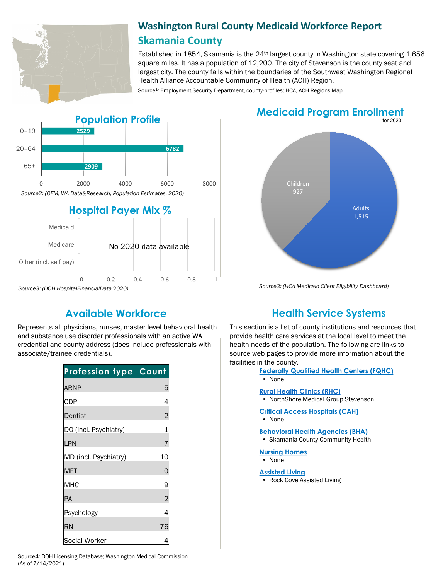

# **Washington Rural County Medicaid Workforce Report Skamania County**

Established in 1854, Skamania is the 24th largest county in Washington state covering 1,656 square miles. It has a population of 12,200. The city of Stevenson is the county seat and largest city. The county falls within the boundaries of the Southwest Washington Regional Health Alliance Accountable Community of Health (ACH) Region.

Source<sup>1</sup>: Employment Security Department, county-profiles; HCA, ACH Regions Map



# **Medicaid Program Enrollment**



*Source3: (HCA Medicaid Client Eligibility Dashboard)*

Represents all physicians, nurses, master level behavioral health and substance use disorder professionals with an active WA credential and county address (does include professionals with associate/trainee credentials).

| <b>Profession type Count</b> |                |
|------------------------------|----------------|
| ARNP                         | 5              |
| <b>CDP</b>                   | 4              |
| Dentist                      | $\overline{c}$ |
| DO (incl. Psychiatry)        |                |
| LPN                          | 7              |
| MD (incl. Psychiatry)        | 10             |
| MFT                          | O              |
| МНС                          | 9              |
| ΙPΑ                          | $\overline{2}$ |
| Psychology                   | 4              |
| RN                           | 76             |
| Social Worker                |                |

# **Available Workforce Health Service Systems**

This section is a list of county institutions and resources that provide health care services at the local level to meet the health needs of the population. The following are links to source web pages to provide more information about the facilities in the county.

- **[Federally Qualified Health Centers \(FQHC\)](https://www.doh.wa.gov/ForPublicHealthandHealthcareProviders/RuralHealth/PrimaryCareOffice)**
- None

#### **[Rural Health Clinics \(RHC\)](https://www.doh.wa.gov/ForPublicHealthandHealthcareProviders/RuralHealth/RuralHealthSystems)**

- NorthShore Medical Group Stevenson
- **[Critical Access Hospitals \(CAH\)](https://www.doh.wa.gov/ForPublicHealthandHealthcareProviders/RuralHealth/RuralHealthSystems)**
- None

#### **[Behavioral Health Agencies \(BHA\)](https://www.doh.wa.gov/LicensesPermitsandCertificates/ProviderCredentialSearch)**

• Skamania County Community Health

### **[Nursing Homes](https://fortress.wa.gov/dshs/adsaapps/lookup/NHPubLookup.aspx)**

- None
- **[Assisted Living](https://fortress.wa.gov/dshs/adsaapps/lookup/BHPubLookup.aspx)**
- Rock Cove Assisted Living